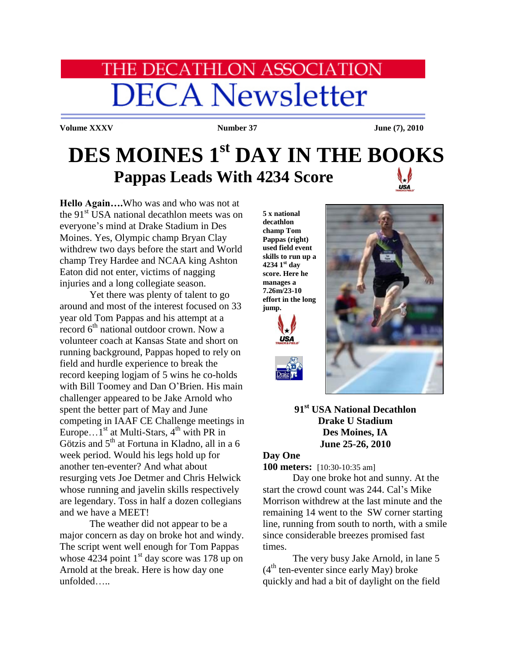# **HE DECATHLON ASSOCIATION DECA Newsletter**

**Volume XXXV Number 37 June (7), 2010** 

## **DES MOINES 1 st DAY IN THE BOOKS Pappas Leads With 4234 Score USA**

**Hello Again….**Who was and who was not at the 91<sup>st</sup> USA national decathlon meets was on everyone's mind at Drake Stadium in Des Moines. Yes, Olympic champ Bryan Clay withdrew two days before the start and World champ Trey Hardee and NCAA king Ashton Eaton did not enter, victims of nagging injuries and a long collegiate season.

Yet there was plenty of talent to go around and most of the interest focused on 33 year old Tom Pappas and his attempt at a record  $6<sup>th</sup>$  national outdoor crown. Now a volunteer coach at Kansas State and short on running background, Pappas hoped to rely on field and hurdle experience to break the record keeping logjam of 5 wins he co-holds with Bill Toomey and Dan O'Brien. His main challenger appeared to be Jake Arnold who spent the better part of May and June competing in IAAF CE Challenge meetings in Europe... $1<sup>st</sup>$  at Multi-Stars,  $4<sup>th</sup>$  with PR in Götzis and  $5<sup>th</sup>$  at Fortuna in Kladno, all in a 6 week period. Would his legs hold up for another ten-eventer? And what about resurging vets Joe Detmer and Chris Helwick whose running and javelin skills respectively are legendary. Toss in half a dozen collegians and we have a MEET!

The weather did not appear to be a major concern as day on broke hot and windy. The script went well enough for Tom Pappas whose 4234 point  $1<sup>st</sup>$  day score was 178 up on Arnold at the break. Here is how day one unfolded…..

**5 x national decathlon champ Tom Pappas (right) used field event skills to run up a 4234 1st day score. Here he manages a 7.26m/23-10 effort in the long jump.**





**91st USA National Decathlon Drake U Stadium Des Moines, IA June 25-26, 2010**

### **Day One**

**100 meters:** [10:30-10:35 am]

Day one broke hot and sunny. At the start the crowd count was 244. Cal's Mike Morrison withdrew at the last minute and the remaining 14 went to the SW corner starting line, running from south to north, with a smile since considerable breezes promised fast times.

The very busy Jake Arnold, in lane 5  $(4<sup>th</sup>$  ten-eventer since early May) broke quickly and had a bit of daylight on the field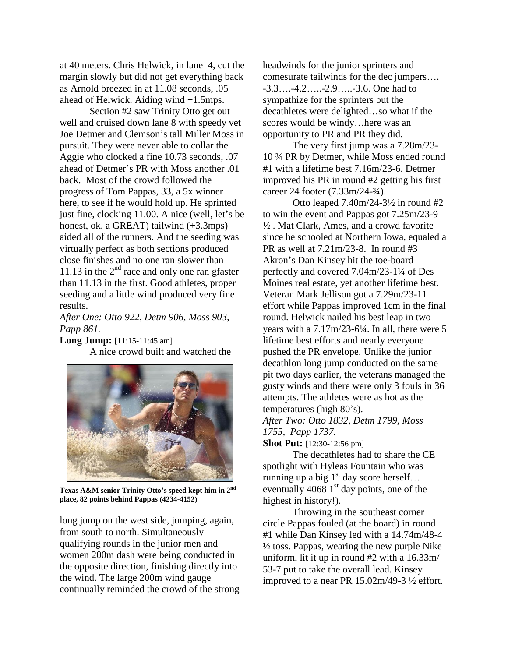at 40 meters. Chris Helwick, in lane 4, cut the margin slowly but did not get everything back as Arnold breezed in at 11.08 seconds, .05 ahead of Helwick. Aiding wind +1.5mps.

Section #2 saw Trinity Otto get out well and cruised down lane 8 with speedy vet Joe Detmer and Clemson's tall Miller Moss in pursuit. They were never able to collar the Aggie who clocked a fine 10.73 seconds, .07 ahead of Detmer's PR with Moss another .01 back. Most of the crowd followed the progress of Tom Pappas, 33, a 5x winner here, to see if he would hold up. He sprinted just fine, clocking 11.00. A nice (well, let's be honest, ok, a GREAT) tailwind  $(+3.3$ mps) aided all of the runners. And the seeding was virtually perfect as both sections produced close finishes and no one ran slower than 11.13 in the  $2<sup>nd</sup>$  race and only one ran gfaster than 11.13 in the first. Good athletes, proper seeding and a little wind produced very fine results.

*After One: Otto 922, Detm 906, Moss 903, Papp 861.*

**Long Jump:** [11:15-11:45 am] A nice crowd built and watched the



**Texas A&M senior Trinity Otto's speed kept him in 2nd place, 82 points behind Pappas (4234-4152)**

long jump on the west side, jumping, again, from south to north. Simultaneously qualifying rounds in the junior men and women 200m dash were being conducted in the opposite direction, finishing directly into the wind. The large 200m wind gauge continually reminded the crowd of the strong headwinds for the junior sprinters and comesurate tailwinds for the dec jumpers…. -3.3….-4.2…..-2.9…..-3.6. One had to sympathize for the sprinters but the decathletes were delighted…so what if the scores would be windy…here was an opportunity to PR and PR they did.

The very first jump was a 7.28m/23- 10 ¾ PR by Detmer, while Moss ended round #1 with a lifetime best 7.16m/23-6. Detmer improved his PR in round #2 getting his first career 24 footer (7.33m/24-¾).

Otto leaped  $7.40 \text{m}/24 - 3\frac{1}{2}$  in round #2 to win the event and Pappas got 7.25m/23-9 ½ . Mat Clark, Ames, and a crowd favorite since he schooled at Northern Iowa, equaled a PR as well at 7.21m/23-8. In round #3 Akron's Dan Kinsey hit the toe-board perfectly and covered 7.04m/23-1¼ of Des Moines real estate, yet another lifetime best. Veteran Mark Jellison got a 7.29m/23-11 effort while Pappas improved 1cm in the final round. Helwick nailed his best leap in two years with a 7.17m/23-6¼. In all, there were 5 lifetime best efforts and nearly everyone pushed the PR envelope. Unlike the junior decathlon long jump conducted on the same pit two days earlier, the veterans managed the gusty winds and there were only 3 fouls in 36 attempts. The athletes were as hot as the temperatures (high 80's). *After Two: Otto 1832, Detm 1799, Moss*

*1755, Papp 1737.*

**Shot Put:** [12:30-12:56 pm]

The decathletes had to share the CE spotlight with Hyleas Fountain who was running up a big  $1<sup>st</sup>$  day score herself... eventually  $4068$  1<sup>st</sup> day points, one of the highest in history!).

Throwing in the southeast corner circle Pappas fouled (at the board) in round #1 while Dan Kinsey led with a 14.74m/48-4  $\frac{1}{2}$  toss. Pappas, wearing the new purple Nike uniform, lit it up in round #2 with a 16.33m/ 53-7 put to take the overall lead. Kinsey improved to a near PR 15.02m/49-3 ½ effort.